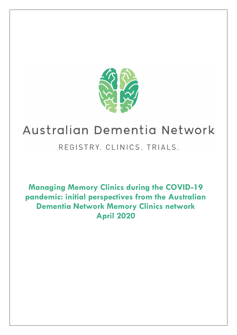

# Australian Dementia Network

# REGISTRY. CLINICS. TRIALS.

**Managing Memory Clinics during the COVID-19 pandemic: initial perspectives from the Australian Dementia Network Memory Clinics network April 2020**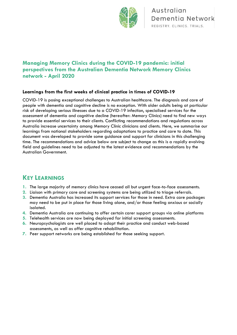

### **Managing Memory Clinics during the COVID-19 pandemic: initial perspectives from the Australian Dementia Network Memory Clinics network - April 2020**

### **Learnings from the first weeks of clinical practice in times of COVID-19**

COVID-19 is posing exceptional challenges to Australian healthcare. The diagnosis and care of people with dementia and cognitive decline is no exception. With older adults being at particular risk of developing serious illnesses due to a COVID-19 infection, specialised services for the assessment of dementia and cognitive decline (hereafter: Memory Clinics) need to find new ways to provide essential services to their clients. Conflicting recommendations and regulations across Australia increase uncertainty among Memory Clinic clinicians and clients. Here, we summarise our learnings from national stakeholders regarding adaptations to practice and care to date. This document was developed to provide some guidance and support for clinicians in this challenging time. The recommendations and advice below are subject to change as this is a rapidly evolving field and guidelines need to be adjusted to the latest evidence and recommendations by the Australian Government.

### **KEY LEARNINGS**

- **1.** The large majority of memory clinics have ceased all but urgent face-to-face assessments.
- **2.** Liaison with primary care and screening systems are being utilized to triage referrals.
- **3.** Dementia Australia has increased its support services for those in need. Extra care packages may need to be put in place for those living alone, and/or those feeling anxious or socially isolated.
- **4.** Dementia Australia are continuing to offer certain carer support groups via online platforms
- **5.** Telehealth services are now being deployed for initial screening assessments.
- **6.** Neuropsychologists are well placed to adapt their practice and conduct web-based assessments, as well as offer cognitive rehabilitation.
- **7.** Peer support networks are being established for those seeking support.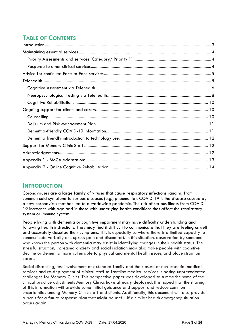# **TABLE OF CONTENTS**

### <span id="page-2-0"></span>**INTRODUCTION**

Coronaviruses are a large family of viruses that cause respiratory infections ranging from common cold symptoms to serious diseases (e.g., pneumonia). COVID-19 is the disease caused by a new coronavirus that has led to a worldwide pandemic. The risk of serious illness from COVID-19 increases with age and in those with underlying health conditions that affect the respiratory system or immune system.

People living with dementia or cognitive impairment may have difficulty understanding and following health instructions. They may find it difficult to communicate that they are feeling unwell and accurately describe their symptoms. This is especially so where there is a limited capacity to communicate verbally or express pain and discomfort. In this situation, observation by someone who knows the person with dementia may assist in identifying changes in their health status. The stressful situation, increased anxiety and social isolation may also make people with cognitive decline or dementia more vulnerable to physical and mental health issues, and place strain on carers.

Social distancing, less involvement of extended family and the closure of non-essential medical services and re-deployment of clinical staff to frontline medical services is posing unprecedented challenges for Memory Clinics. This perspective paper was developed to summarise some of the clinical practice adjustments Memory Clinics have already deployed. It is hoped that the sharing of this information will provide some initial guidance and support and reduce common uncertainties among Memory Clinic staff and clients. Additionally, this document will also provide a basis for a future response plan that might be useful if a similar health emergency situation occurs again.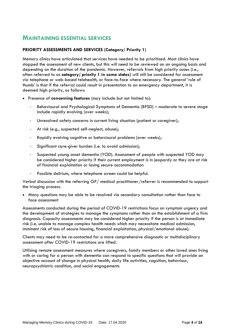### <span id="page-3-0"></span>**MAINTAINING ESSENTIAL SERVICES**

### <span id="page-3-1"></span>**PRIORITY ASSESSMENTS AND SERVICES (Category/ Priority 1)**

Memory clinics have articulated that services have needed to be prioritised. Most clinics have stopped the assessment of new clients, but this will need to be reviewed on an ongoing basis and depending on the duration of the pandemic. However, referrals from high priority cases (i.e., often referred to as **category/ priority 1 in some states)** will still be considered for assessment via telephone or web-based telehealth, or face-to-face where necessary. The general 'rule of thumb' is that if the referral could result in presentation to an emergency department, it is deemed high priority, as follows:

- Presence of **concerning features** (may include but not limited to):
	- Behavioural and Psychological Symptoms of Dementia (BPSD) moderate to severe stage include rapidly evolving (over weeks);
	- Unresolved safety concerns in current living situation (patient or caregiver):
	- At risk (e.g., suspected self-neglect, abuse);
	- Rapidly evolving cognitive or behavioural problems (over weeks);
	- Significant care-giver burden (i.e. to avoid admission);
	- Suspected young onset dementia (YOD). Assessment of people with suspected YOD may be considered higher priority if their current employment is in jeopardy or they are at risk of financial exploitation or losing secure accommodation
	- Possible delirium, where telephone screen could be helpful.

Verbal discussion with the referring GP/ medical practitioner/referrer is recommended to support the triaging process.

• Many questions may be able to be resolved via secondary consultation rather than face to face assessment

Assessments conducted during the period of COVID-19 restrictions focus on symptom urgency and the development of strategies to manage the symptoms rather than on the establishment of a firm diagnosis. Capacity assessments may be considered higher priority if the person is at immediate risk (i.e. unable to manage complex health needs which may necessitate medical admission, imminent risk of loss of secure housing, financial exploitation, physical/emotional abuse).

Clients may need to be re-contacted for a more comprehensive diagnostic or multidisciplinary assessment after COVID-19 restrictions are lifted.

<span id="page-3-2"></span>Utilising remote assessment measures where caregivers, family members or other loved ones living with or caring for a person with dementia can respond to specific questions that will provide an objective account of change in physical health, daily life activities, cognition, behaviour, neuropsychiatric condition, and social engagements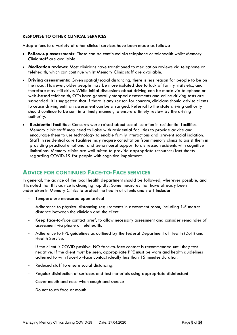#### **RESPONSE TO OTHER CLINICAL SERVICES**

Adaptations to a variety of other clinical services have been made as follows:

- **Follow-up assessments:** These can be continued via telephone or telehealth whilst Memory Clinic staff are available
- **Medication reviews:** Most clinicians have transitioned to medication reviews via telephone or telehealth, which can continue whilst Memory Clinic staff are available.
- **Driving assessments:** Given spatial/social distancing, there is less reason for people to be on the road. However, older people may be more isolated due to lack of family visits etc., and therefore may still drive. While initial discussions about driving can be made via telephone or web-based telehealth, OT's have generally stopped assessments and online driving tests are suspended. It is suggested that if there is any reason for concern, clinicians should advise clients to cease driving until an assessment can be arranged. Referral to the state driving authority should continue to be sent in a timely manner, to ensure a timely review by the driving authority.
- **Residential facilities:** Concerns were raised about social isolation in residential facilities. Memory clinic staff may need to liaise with residential facilities to provide advice and encourage them to use technology to enable family interactions and prevent social isolation. Staff in residential care facilities may require consultation from memory clinics to assist them in providing practical emotional and behavioural support to distressed residents with cognitive limitations. Memory clinics are well suited to provide appropriate resources/fact sheets regarding COVID-19 for people with cognitive impairment.

### <span id="page-4-0"></span>**ADVICE FOR CONTINUED FACE-TO-FACE SERVICES**

In general, the advice of the local health department should be followed, wherever possible, and it is noted that this advice is changing rapidly. Some measures that have already been undertaken in Memory Clinics to protect the health of clients and staff include:

- Temperature measured upon arrival
- Adherence to physical distancing requirements in assessment room, including 1.5 metres distance between the clinician and the client.
- Keep face-to-face contact brief, to allow necessary assessment and consider remainder of assessment via phone or telehealth.
- Adherence to PPE guidelines as outlined by the federal Department of Health (DoH) and Health Service.
- If the client is COVID positive, NO face-to-face contact is recommended until they test negative. If the client must be seen, appropriate PPE must be worn and health guidelines adhered to with face-to -face contact ideally less than 15 minutes duration.
- Reduced staff to ensure social distancing.
- Regular disinfection of surfaces and test materials using appropriate disinfectant
- Cover mouth and nose when cough and sneeze
- Do not touch face or mouth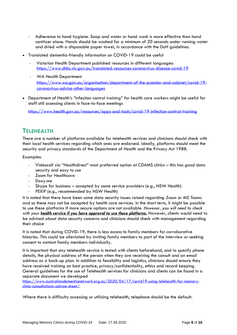- Adherence to hand hygiene. Soap and water or hand wash is more effective than hand sanitizer alone. Hands should be washed for a minimum of 20 seconds under running water and dried with a disposable paper towel, in accordance with the DoH guidelines.
- Translated dementia-friendly information on COVID-19 could be useful
	- Victorian Health Department published resources in different languages: <https://www.dhhs.vic.gov.au/translated-resources-coronavirus-disease-covid-19>
	- WA Health Department [https://www.wa.gov.au/organisation/department-of-the-premier-and-cabinet/covid-19](https://www.wa.gov.au/organisation/department-of-the-premier-and-cabinet/covid-19-coronavirus-advice-other-languages) [coronavirus-advice-other-languages](https://www.wa.gov.au/organisation/department-of-the-premier-and-cabinet/covid-19-coronavirus-advice-other-languages)
- Department of Health's "infection control training" for health care workers might be useful for staff still assessing clients in face-to-face meetings

<https://www.health.gov.au/resources/apps-and-tools/covid-19-infection-control-training>

### <span id="page-5-0"></span>**TELEHEALTH**

There are a number of platforms available for telehealth services and clinicians should check with their local health services regarding which ones are endorsed. Ideally, platforms should meet the security and privacy standards of the Department of Health and the Privacy Act 1988.

Examples:

- Videocall via "Healthdirect" most preferred option at CDAMS clinics this has good data security and easy to use
- Zoom for Healthcare
- Doxy.me
- Skype for business accepted by some service providers (e.g., NSW Health)
- PEXIP (e.g., recommended by NSW Health)

It is noted that there have been some data security issues raised regarding *Zoom* or *MS Teams* and so these may not be accepted by health care services. In the short term, it might be possible to use these platforms if more secure options are not available. *However, you will need to check with your health service if you have approval to use these platforms.* However, clients would need to be advised about data security concerns and clinicians should check with management regarding their choice

It is noted that during COVID-19, there is less access to family members for corroborative histories. This could be alleviated by inviting family members to part of the interview or seeking consent to contact family members individually.

It is important that any telehealth service is tested with clients beforehand, and to specify phone details, the physical address of the person when they are receiving the consult and an email address as a back-up plan. In addition to feasibility and logistics, clinicians should ensure they have received training on best practice, privacy/confidentiality, ethics and record keeping. General guidelines for the use of Telehealth services for clinicians and clients can be found in a separate document we developed

[https://www.australiandementianetwork.org.au/2020/04/17/covid19-using-telehealth-for-memory](https://www.australiandementianetwork.org.au/2020/04/17/covid19-using-telehealth-for-memory-clinic-consultations-advice-sheet/)[clinic-consultations-advice-sheet/.](https://www.australiandementianetwork.org.au/2020/04/17/covid19-using-telehealth-for-memory-clinic-consultations-advice-sheet/)

<span id="page-5-1"></span>Where there is difficulty accessing or utilizing telehealth, telephone should be the default.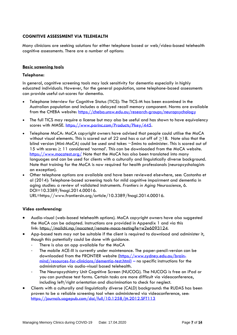### **COGNITIVE ASSESSMENT VIA TELEHEALTH**

Many clinicians are seeking solutions for either telephone based or web/video-based telehealth cognitive assessments. There are a number of options:

#### **Basic screening tools**

#### **Telephone:**

In general, cognitive screening tools may lack sensitivity for dementia especially in highly educated individuals. However, for the general population, some telephone-based assessments can provide useful cut-scores for dementia.

- Telephone Interview for Cognitive Status (TICS): The TICS-M has been examined in the Australian population and includes a delayed recall memory component. Norms are available from the CHEBA website:<https://cheba.unsw.edu.au/research-groups/neuropsychology>
- The full TICS may require a license but may also be useful and has shown to have equivalency scores with MMSE. [https://www.parinc.com/Products/Pkey/445.](https://www.parinc.com/Products/Pkey/445)
- Telephone MoCA: MoCA copyright owners have advised that people could utilise the MoCA without visual elements. This is scored out of 22 and has a cut off of  $\geq$ 18. Note also that the blind version (Mini-MoCA) could be used and takes ~5mins to administer. This is scored out of 15 with scores  $\geq 11$  considered 'normal'. This can be downloaded from the MoCA website. <https://www.mocatest.org/> Note that the MoCA has also been translated into many languages and can be used for clients with a culturally and linguistically diverse background. Note that training for the MoCA is now required for health professionals (neuropsychologists an exception).
- Other telephone options are available and have been reviewed elsewhere, see: Castanho et al (2014): Telephone-based screening tools for mild cognitive impairment and dementia in aging studies: a review of validated instruments. *Frontiers in Aging Neuroscience*, 6. DOI=10.3389/fnagi.2014.00016.

URL=https://www.frontiersin.org/article/10.3389/fnagi.2014.00016.

#### **Video conferencing:**

- Audio-visual (web-based telehealth options). MoCA copyright owners have also suggested the MoCA can be adapted. Instructions are provided in Appendix 1 and via this link: [https://mailchi.mp/mocatest/remote-moca-testing?e=e2e6093124.](https://protect-au.mimecast.com/s/G73_CWLVXkUPoDg5hxaT2Z?domain=mailchi.mp)
- App-based tests may not be suitable if the client is required to download and administer it, though this potentially could be done with guidance.
	- There is also an app available for the MoCA
	- The mobile ACE-III is currently under maintenance. The paper-pencil-version can be downloaded from the FRONTIER website [\(https://www.sydney.edu.au/brain](https://www.sydney.edu.au/brain-mind/resources-for-clinicians/dementia-test.html)[mind/resources-for-clinicians/dementia-test.html\)](https://www.sydney.edu.au/brain-mind/resources-for-clinicians/dementia-test.html) – no specific instructions for the administration via audio-visual based telehealth.
	- The Neuropsychiatry Unit Cognitive Screen (NUCOG). The NUCOG is free on iPad or you can purchase test forms. Certain tasks are more difficult via videoconference, including left/right orientation and discrimination to check for neglect.
- Clients with a culturally and linguistically diverse (CALD) background: the RUDAS has been proven to be a reliable screening tool when administered via videoconference, see: <https://journals.sagepub.com/doi/full/10.1258/jtt.2012.SFT113>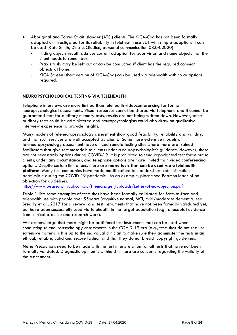- Aboriginal and Torres Strait Islander (ATSI) clients: The KICA-Cog has not been formally adapted or investigated for its reliability in telehealth use BUT with simple adaptions it can be used (Kate Smith, Dina LoGiudice, personal communication 08.04.2020)
	- Hiding objects recall task: use current adaption for poor vision and name objects that the client needs to remember.
	- Praxis task: may be left out or can be conducted if client has the required common objects at home.
	- KICA Screen (short version of KICA-Cog) can be used via telehealth with no adaptions required.

### <span id="page-7-0"></span>**NEUROPSYCHOLOGICAL TESTING VIA TELEHEALTH**

Telephone interviews are more limited than telehealth videoconferencing for formal neuropsychological assessments. Visual resources cannot be shared via telephone and it cannot be guaranteed that for auditory memory tests, results are not being written down. However, some auditory tests could be administered and neuropsychologists could also draw on qualitative interview experience to provide insights.

Many models of teleneuropsychology assessment show good feasibility, reliability and validity, and that such services are well accepted by clients. Some more extensive models of teleneuropsychology assessment have utilized remote testing sites where there are trained facilitators that give test materials to clients under a neuropsychologist's guidance. However, these are not necessarily options during COVID-19. It is prohibited to send copyrighted test forms out to clients, under any circumstances, and telephone options are more limited than video conferencing options. Despite certain limitations, there are **many tests that can be used via a telehealth platform.** Many test companies have made modifications to standard test administration permissible during the COVID-19 pandemic. As an example, please see Pearson letter of no objection for guidelines.

<http://www.pearsonclinical.com.au/filemanager/uploads/Letter-of-no-objection.pdf>

Table 1 lists some examples of tests that have been formally validated for face-to-face and telehealth use with people over 55years (cognitive normal, MCI, mild/moderate dementia; see Brearly et al., 2017 for a review) and test instruments that have not been formally validated yet, but have been successfully used via telehealth in the target population (e.g., anecdotal evidence from clinical practice and research work).

We acknowledge that there might be additional test instruments that can be used when conducting teleneuropsychology assessments in the COVID-19 era (e.g., tests that do not require extensive material). It is up to the individual clinician to make sure they administer the tests in an ethical, reliable, valid and secure fashion and that they do not breach copyright guidelines.

**Note:** Precautions need to be made with the test interpretation for all tests that have not been formally validated. Diagnostic opinion is withheld if there are concerns regarding the validity of the assessment.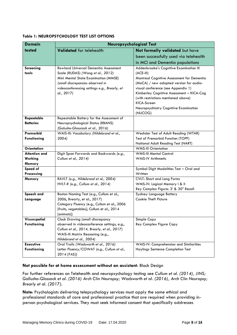| <b>Domain</b>             | <b>Neuropsychological Test</b>                                                    |                                                                                       |  |
|---------------------------|-----------------------------------------------------------------------------------|---------------------------------------------------------------------------------------|--|
| tested                    | <b>Validated</b> for telehealth                                                   | Not formally validated but have                                                       |  |
|                           |                                                                                   | been successfully used via telehealth                                                 |  |
|                           |                                                                                   | in MCI and Dementia populations                                                       |  |
| <b>Screening</b><br>tools | <b>Rowland Universal Dementia Assessment</b><br>Scale (RUDAS) (Wong et al., 2012) | Addenbrooke's Cognitive Examination III<br>$(ACE-III)$                                |  |
|                           | Mini Mental State Examination (MMSE)<br>(small discrepancies observed in          | Montreal Cognitive Assessment for Dementia<br>(MoCA) / new adapted version for audio- |  |
|                           | videoconferencing settings e.g., Brearly, et                                      | visual conference (see Appendix 1)                                                    |  |
|                           | al., 2017)                                                                        | Kimberley Cognitive Assessment - KICA-Cog                                             |  |
|                           |                                                                                   | (with restrictions mentioned above)<br>KICA-Screen                                    |  |
|                           |                                                                                   | Neuropsychiatry Cognitive Examination                                                 |  |
|                           |                                                                                   | (NUCOG)                                                                               |  |
| Repeatable                | Repeatable Battery for the Assessment of                                          |                                                                                       |  |
| <b>Batteries</b>          | Neuropsychological Status (RBANS)                                                 |                                                                                       |  |
| Premorbid                 | (Galusha-Glasscock et al., 2016)<br>WAIS-III: Vocabulary (Hildebrand et al.,      | Wechsler Test of Adult Reading (WTAR)                                                 |  |
| <b>Functioning</b>        | 2004                                                                              | Test of Premorbid Function (TOPF)                                                     |  |
|                           |                                                                                   | National Adult Reading Test (NART)                                                    |  |
| <b>Orientation</b>        |                                                                                   | <b>WMS-III Orientation</b>                                                            |  |
| <b>Attention and</b>      | Digit Span Forwards and Backwards (e.g.,                                          | <b>WMS-III Mental Control</b>                                                         |  |
| Working                   | Cullum et al., 2014)                                                              | <b>WAIS-IV Arithmetic</b>                                                             |  |
| Memory<br>Speed of        |                                                                                   | Symbol Digit Modalities Test - Oral and                                               |  |
| Processing                |                                                                                   | Written                                                                               |  |
| Memory                    | RAVLT (e.g., Hildebrand et al., 2004)                                             | <b>CVLT: Short and Long Forms</b>                                                     |  |
|                           | HVLT-R (e.g., Cullum et al., 2014)                                                | WMS-IV: Logical Memory   & II                                                         |  |
|                           |                                                                                   | Rey Complex Figure: 3' & 30" Recall                                                   |  |
| Speech and                | Boston Naming Test (e.g., Cullum et al.,                                          | Sydney Language Battery                                                               |  |
| Language                  | 2006, Brearly, et al., 2017)<br>Category Fluency (e.g., Cullum et al., 2006       | Cookie Theft Picture                                                                  |  |
|                           | [fruits, vegetables]; Cullum et al., 2014                                         |                                                                                       |  |
|                           | [animals])                                                                        |                                                                                       |  |
| Visuospatial              | <b>Clock Drawing (small discrepancy</b>                                           | Simple Copy                                                                           |  |
| <b>Functioning</b>        | observed in videoconference settings, e.g.,                                       | Rey Complex Figure Copy                                                               |  |
|                           | Cullum et al., 2014, Brearly, et al., 2017)                                       |                                                                                       |  |
|                           | WAIS-III Matrix Reasoning (e.g.,<br>Hildebrand et al., 2004)                      |                                                                                       |  |
| <b>Executive</b>          | Oral Trails (Wadsworth et al., 2016)                                              | WAIS-IV: Comprehension and Similarities                                               |  |
| <b>Functioning</b>        | Letter Fluency/COWAT (e.g., Cullum et al.,                                        | Haylings Sentence Completion Test                                                     |  |
|                           | 2014 [FAS])                                                                       |                                                                                       |  |

#### **Table 1: NEUROPSYCHOLOGY TEST LIST OPTIONS**

#### **Not possible for at home assessment without an assistant**: Block Design

For further references on Telehealth and neuropsychology testing see *Cullum et al. (2014), JINS; Gallusha-Glassock et al. (2016) Arch Clin Neuropsy; Wadsworth et al. (2016), Arch Clin Neuropsy; Brearly et al. (2017).*

**Note**: Psychologists delivering telepsychology services must apply the same ethical and professional standards of care and professional practice that are required when providing inperson psychological services. They must seek informed consent that specifically addresses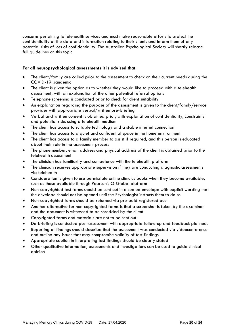concerns pertaining to telehealth services and must make reasonable efforts to protect the confidentiality of the data and information relating to their clients and inform them of any potential risks of loss of confidentiality. The Australian Psychological Society will shortly release full guidelines on this topic.

#### **For all neuropsychological assessments it is advised that**:

- The client/family are called prior to the assessment to check on their current needs during the COVID-19 pandemic
- The client is given the option as to whether they would like to proceed with a telehealth assessment, with an explanation of the other potential referral options
- Telephone screening is conducted prior to check for client suitability
- An explanation regarding the purpose of the assessment is given to the client/family/service provider with appropriate verbal/written pre-briefing
- Verbal and written consent is obtained prior, with explanation of confidentiality, constraints and potential risks using a telehealth medium
- The client has access to suitable technology and a stable internet connection
- The client has access to a quiet and confidential space in the home environment
- The client has access to a family member to assist if required, and this person is educated about their role in the assessment process
- The phone number, email address and physical address of the client is obtained prior to the telehealth assessment
- The clinician has familiarity and competence with the telehealth platform
- The clinician receives appropriate supervision if they are conducting diagnostic assessments via telehealth
- Consideration is given to use permissible online stimulus books when they become available, such as those available through Pearson's Q-Global platform
- Non-copyrighted test forms should be sent out in a sealed envelope with explicit wording that the envelope should not be opened until the Psychologist instructs them to do so
- Non-copyrighted forms should be returned via pre-paid registered post
- Another alternative for non-copyrighted forms is that a screenshot is taken by the examiner and the document is witnessed to be shredded by the client
- Copyrighted forms and materials are not to be sent out
- De-briefing is conducted post-assessment with appropriate follow-up and feedback planned.
- Reporting of findings should describe that the assessment was conducted via videoconference and outline any issues that may compromise validity of test findings
- Appropriate caution in interpreting test findings should be clearly stated
- <span id="page-9-0"></span>• Other qualitative information, assessments and investigations can be used to guide clinical opinion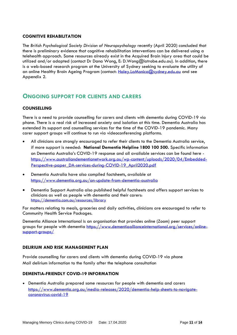#### **COGNITIVE REHABILITATION**

The *British Psychological Society Division of Neuropsychology* recently (April 2020) concluded that there is preliminary evidence that cognitive rehabilitation interventions can be delivered using a telehealth approach. Some resources already exist in the Acquired Brain Injury area that could be utilized and/or adapted (contact Dr Dana Wong, E: D.Wong@latrobe.edu.au). In addition, there is a web-based research program at the University of Sydney seeking to evaluate the utility of an online Healthy Brain Ageing Program (contact: [Haley.LaMonica@sydney.edu.au](mailto:Haley.LaMonica@sydney.edu.au) and see Appendix 2.

### <span id="page-10-0"></span>**ONGOING SUPPORT FOR CLIENTS AND CARERS**

#### <span id="page-10-1"></span>**COUNSELLING**

There is a need to provide counselling for carers and clients with dementia during COVID-19 via phone. There is a real risk of increased anxiety and isolation at this time. Dementia Australia has extended its support and counselling services for the time of the COVID-19 pandemic. Many carer support groups will continue to run via videoconferencing platforms.

- All clinicians are strongly encouraged to refer their clients to the Dementia Australia service, if more support is needed: **National Dementia Helpline 1800 100 500.** Specific information on Dementia Australia's COVID-19 response and all available services can be found here [https://www.australiandementianetwork.org.au/wp-content/uploads/2020/04/Embedded-](https://www.australiandementianetwork.org.au/wp-content/uploads/2020/04/Embedded-Perspective-paper_DA-services-during-COVID-19_April2020.pdf)[Perspective-paper\\_DA-services-during-COVID-19\\_April2020.pdf](https://www.australiandementianetwork.org.au/wp-content/uploads/2020/04/Embedded-Perspective-paper_DA-services-during-COVID-19_April2020.pdf)
- Dementia Australia have also compiled factsheets, available at <https://www.dementia.org.au/an-update-from-dementia-australia>
- Dementia Support Australia also published helpful factsheets and offers support services to clinicians as well as people with dementia and their carers: <https://dementia.com.au/resources/library>

For matters relating to meals, groceries and daily activities, clinicians are encouraged to refer to Community Health Service Packages.

Dementia Alliance International is an organisation that provides online (Zoom) peer support groups for people with dementia [https://www.dementiaallianceinternational.org/services/online](https://www.dementiaallianceinternational.org/services/online-support-groups/)[support-groups/](https://www.dementiaallianceinternational.org/services/online-support-groups/)

#### <span id="page-10-2"></span>**DELIRIUM AND RISK MANAGEMENT PLAN**

Provide counselling for carers and clients with dementia during COVID-19 via phone Mail delirium information to the family after the telephone consultation

#### <span id="page-10-3"></span>**DEMENTIA-FRIENDLY COVID-19 INFORMATION**

<span id="page-10-4"></span>• Dementia Australia prepared some resources for people with dementia and carers [https://www.dementia.org.au/media-releases/2020/dementia-help-sheets-to-navigate](https://www.dementia.org.au/media-releases/2020/dementia-help-sheets-to-navigate-coronavirus-covid-19)[coronavirus-covid-19](https://www.dementia.org.au/media-releases/2020/dementia-help-sheets-to-navigate-coronavirus-covid-19)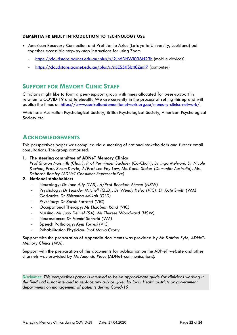### **DEMENTIA FRIENDLY INTRODUCTION TO TECHNOLOGY USE**

- American Recovery Connection and Prof Jamie Azios (Lafayette University, Louisiana) put together accessible step-by-step instructions for using Zoom
	- <https://cloudstore.aarnet.edu.au/plus/s/2Jh6DHWI038N23h> (mobile devices)
	- https://cloudstore.aarnet.edu.au/plus/s/nBES5KSbtt8ZmPZ (computer)

### <span id="page-11-0"></span>**SUPPORT FOR MEMORY CLINIC STAFF**

Clinicians might like to form a peer-support group with times allocated for peer-support in relation to COVID-19 and telehealth. We are currently in the process of setting this up and will publish the times on [https://www.australiandementianetwork.org.au/memory-clinics-network/.](https://www.australiandementianetwork.org.au/memory-clinics-network/)

<span id="page-11-1"></span>Webinars: Australian Psychological Society, British Psychological Society, American Psychological Society etc.

### **ACKNOWLEDGEMENTS**

This perspectives paper was compiled via a meeting of national stakeholders and further email consultations. The group comprised:

**1. The steering committee of ADNeT Memory Clinics**

*Prof Sharon Naismith (Chair), Prof Perminder Sachdev (Co-Chair), Dr Inga Mehrani, Dr Nicole Kochan, Prof. Susan Kurrle, A/Prof Lee-Fay Low, Ms. Kaele Stokes (Dementia Australia), Ms. Deborah Remfry (ADNeT Consumer Representative)*

#### **2. National stakeholders**

- Neurology: *Dr Jane Alty (TAS), A/Prof Rebekah Ahmed (NSW)*
- Psychology: *Dr Leander Mitchell (QLD), Dr Wendy Kelso (VIC), Dr Kate Smith (WA)*
- Geriatrics: *Dr Shirantha Adikah (QLD)*
- *Psychiatry: Dr Sarah Farrand (VIC)*
- Occupational Therapy: *Ms Elizabeth Rand (VIC)*
- Nursing: *Ms Judy Deimel (SA), Ms Therese Woodward (NSW)*
- Neuroscience: *Dr Hamid Sohrabi (WA)*
- Speech Pathology: *Kym Torresi* (VIC)
- Rehabilitation Physician: *Prof Maria Crotty*

Support with the preparation of Appendix documents was provided by *Ms Katrina Fyfe, ADNeT-Memory Clinics (WA)*.

Support with the preparation of this documents for publication on the ADNeT website and other channels was provided by *Ms Amanda Place* (ADNeT-communications).

*Disclaimer: This perspectives paper is intended to be an approximate guide for clinicians working in the field and is not intended to replace any advice given by local Health districts or government departments on management of patients during Covid-19.*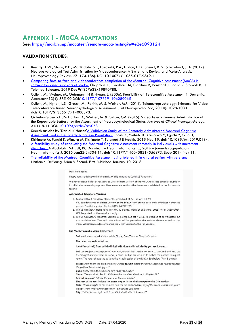## <span id="page-12-0"></span>**APPENDIX 1 - MOCA ADAPTATIONS**

See:<https://mailchi.mp/mocatest/remote-moca-testing?e=e2e6093124>

### **VALIDATION STUDIES:**

- Brearly, T.W., Shura, R.D., Martindale, S.L., Lazowski, R.A., Luxton, D.D., Shenal, B. V. & Rowland, J. A. (2017). Neuropsychological Test Administration by Videoconference: A Systematic Review and Meta-Analysis. Neuropsychology Review. 27 (174-186). DOI 10.1007/s11065-017-9349-1
- Comparing face-to-face and videoconference [completion of the Montreal Cognitive Assessment \(MoCA\) in](https://www.ncbi.nlm.nih.gov/pubmed/31813317)  [community-based survivors of stroke.](https://www.ncbi.nlm.nih.gov/pubmed/31813317) Chapman JE, Cadilhac DA, Gardner B, Ponsford J, Bhalla R, Stolwyk RJ. J Telemed Telecare. 2019 Dec 9:1357633X19890788.
- Cullum, M., Weiner, M., Gehrmann, H & Hynan, L. (2006). Feasibility of Telecognitive Assessment in Dementia. *Assessment*.13(4): 385-90 DOI[:10.1177/1073191106289065](https://doi.org/10.1177/1073191106289065)
- Cullum, M., Hynan, L.S., Grosch, M., Parikh, M. & Weiner, M.F. (2014). Teleneuropsychology: Evidence for Video Teleconference Based Neuropsychological Assessment. J Int Neuropsychol Soc, 20(10): 1028-1033. doi:10.1017/S1355617714000873.
- Galusha-Glasscock JM**,** Horton, D., Weiner, M. & Cullum, CM. (2015). Video Teleconference Administration of the Repeatable Battery for the Assessment of Neuropsychological Status. *Archives of Clinical Neuropsychology*. 31(1): 8-11 DOI: [10.1093/arclin/acv058](http://doi.org/10.1093/arclin/acv058)
- Search articles by 'Daniel K Horton'A Validation Study of the Remotely Administered Montreal Cognitive [Assessment Tool in the Elderly Japanese Population.](https://www.ncbi.nlm.nih.gov/pubmed/31746697) Iiboshi K, Yoshida K, Yamaoka Y, Eguchi Y, Sato D, Kishimoto M, Funaki K, Mimura M, Kishimoto T. Telemed J E Health. 2019 Nov 19. doi: 10.1089/tmj.2019.0134.
- [A feasibility study of conducting the Montreal Cognitive Assessment remotely in individuals with movement](https://www.mocatest.org/faq/)  [disorders.](https://www.mocatest.org/faq/) A Abdolahi, MT Bull, KC Darwin… – Health informatics …, 2016 – journals.sagepub.com Health Informatics J. 2016 Jun;22(2):304-11. doi: 10.1177/1460458214556373. Epub 2014 Nov 11.
- The reliability of the Montreal Cognitive Assessment using telehealth in a rural setting with veterans Nathaniel DeYoung, Brian V Shenal. First Published January 10, 2018.

#### Dear Colleagues

I hope you are doing well in the midst of this important Covid-19 Pandemic.

We have received a lot of requests to use a remote version of the MoCA to assess patients' cognition for clinical or research purposes. Here are a few options that have been validated to use for remote testing:

#### **Abbreviated Telephone Versions**

- 1. MoCA without the visual elements, scored out of 22. Cut-off: N ≥ 19
- You can download the Blind version of the MoCA from our website and administer it over the phone. Pendlebury et al. Stroke. 2013: 44:227-229.
- 2. Mini/5min MoCA Hong Kong version. 30 points. Wong et al. Stroke. 2015; 46(4): 1059-1064. Will be posted on the website shortly.
- 3. Mini/5min MoCA. Montreal version 15 points. Cut-off N ≥ 11. Nasreddine et al. Validated but not published yet. Test and Instructions will be posted on the website shortly as well as the initial validation results comparing the 5 min version to the full version.

#### Full MoCA via Audio-Visual Conference

Full version can be administered via Skype, Face Time, or Teleconference.

The rater proceeds as follows.

#### Identify yourself, from which clinic/institution and in which city you are located.

Tell the subject the purpose of your call, obtain their verbal consent to proceed and instruct them to get a white sheet of paper, a pencil and an eraser, and to isolate themselves in a quiet room. The rater shows the patient the visual section of the MoCA-See below (First 8 points)

Trails: Show them the Trail and say: "Please tell me where the arrow should go next to respect the pattern I am showing you"

Cube: Show them the cube and say: "Copy the cube" Clock: "Draw a clock. Put in all the numbers and set the time to 10 past 11."

Animal naming: "Tell me the name of these animals."

The rest of the test is done the same way as in the clinic except for the Orientation:

Date: "Look straight at the camera and tell me today's date, day of the week, month and year"

Place: "From what Clinic/Institution I am calling you from"

City: "What is the city in which our Clinic/institution is located?"